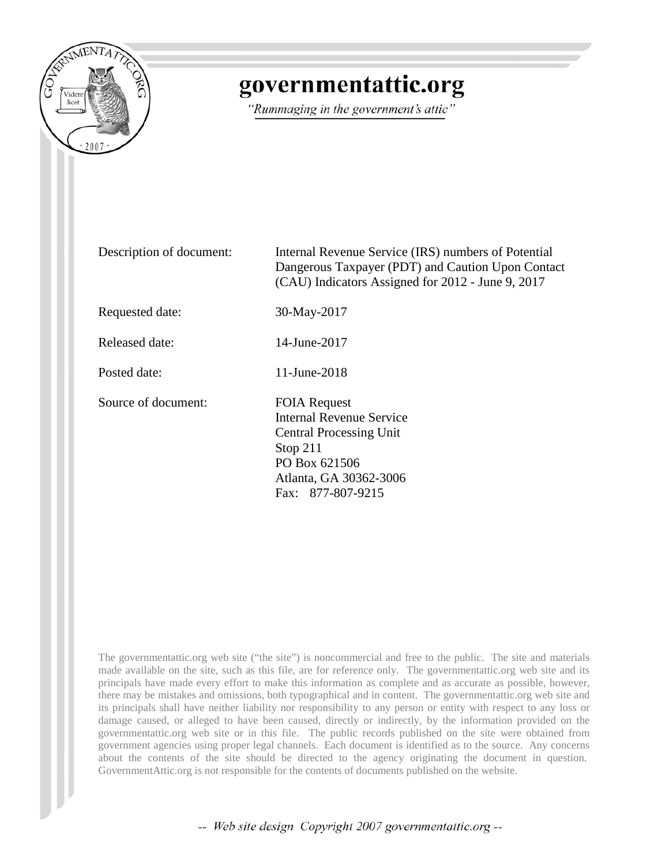

## governmentattic.org

"Rummaging in the government's attic"

Description of document: Internal Revenue Service (IRS) numbers of Potential Dangerous Taxpayer (PDT) and Caution Upon Contact (CAU) Indicators Assigned for 2012 - June 9, 2017 Requested date: 30-May-2017 Released date: 14-June-2017 Posted date: 11-June-2018 Source of document: FOIA Request Internal Revenue Service Central Processing Unit Stop 211 PO Box 621506 Atlanta, GA 30362-3006 Fax: 877-807-9215

The governmentattic.org web site ("the site") is noncommercial and free to the public. The site and materials made available on the site, such as this file, are for reference only. The governmentattic.org web site and its principals have made every effort to make this information as complete and as accurate as possible, however, there may be mistakes and omissions, both typographical and in content. The governmentattic.org web site and its principals shall have neither liability nor responsibility to any person or entity with respect to any loss or damage caused, or alleged to have been caused, directly or indirectly, by the information provided on the governmentattic.org web site or in this file. The public records published on the site were obtained from government agencies using proper legal channels. Each document is identified as to the source. Any concerns about the contents of the site should be directed to the agency originating the document in question. GovernmentAttic.org is not responsible for the contents of documents published on the website.

-- Web site design Copyright 2007 governmentattic.org --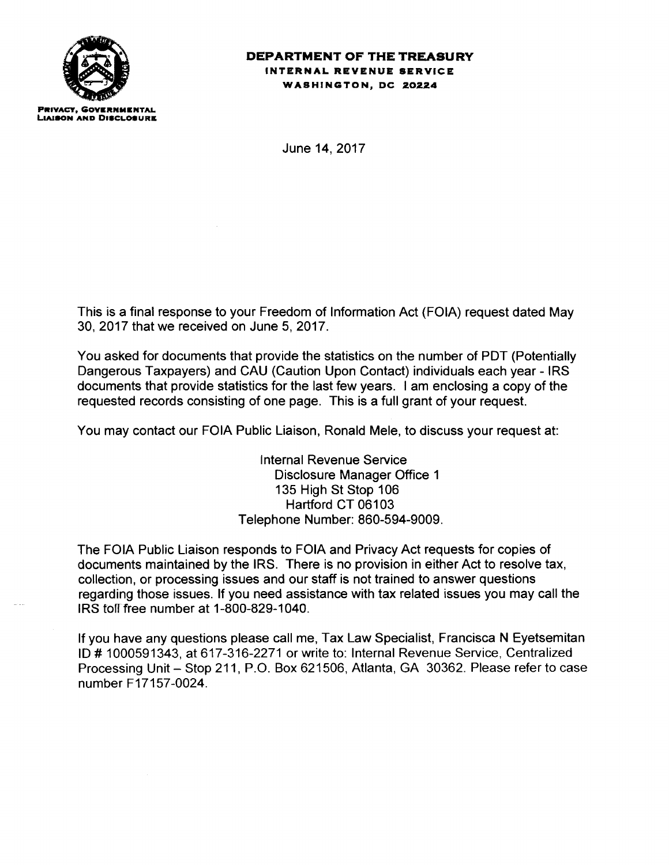

## **DEPARTMENT OF THE TREASURY INTERNAL REVENUE SERVICE WASHINGTON, DC 20224**

June 14, 2017

This is a final response to your Freedom of Information Act (FOIA) request dated May 30, 2017 that we received on June 5, 2017.

You asked for documents that provide the statistics on the number of PDT (Potentially Dangerous Taxpayers) and CAU (Caution Upon Contact) individuals each year - IRS documents that provide statistics for the last few years. I am enclosing a copy of the requested records consisting of one page. This is a full grant of your request.

You may contact our FOIA Public Liaison, Ronald Mele, to discuss your request at:

Internal Revenue Service Disclosure Manager Office 1 135 High St Stop 106 Hartford CT 06103 Telephone Number: 860-594-9009.

The FOIA Public Liaison responds to FOIA and Privacy Act requests for copies of documents maintained by the IRS. There is no provision in either Act to resolve tax, collection, or processing issues and our staff is not trained to answer questions regarding those issues. If you need assistance with tax related issues you may call the IRS tofffree number at 1-800-829-1040.

If you have any questions please call me, Tax Law Specialist, Francisca N Eyetsemitan ID# 1000591343, at 617-316-2271 or write to: Internal Revenue Service, Centralized Processing Unit - Stop 211, P.O. Box 621506, Atlanta, GA 30362. Please refer to case number F17157-0024.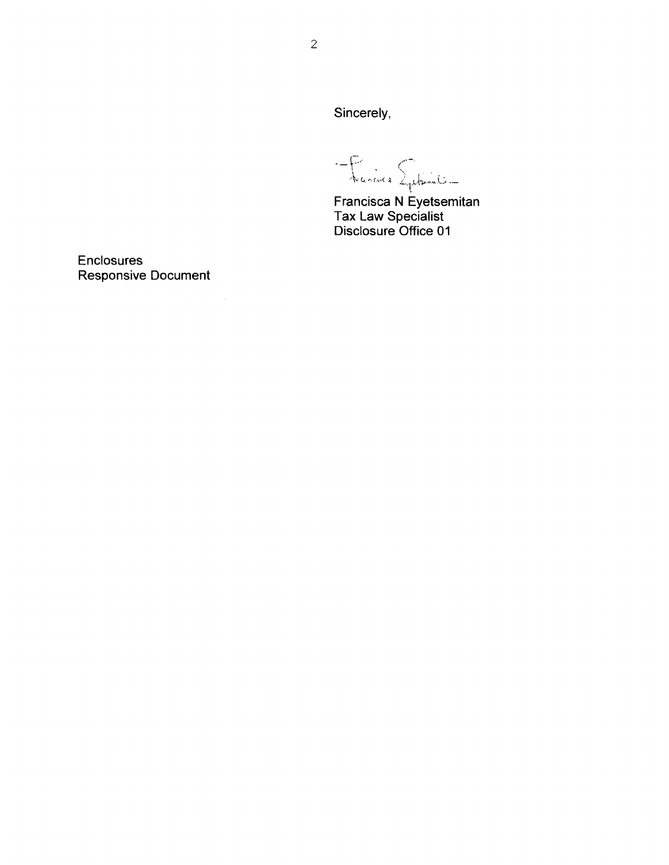Sincerely,

-Francis Sphender

Francisca N Eyetsemitan<br>Tax Law Specialist<br>Disclosure Office 01

Enclosures **Responsive Document** 

 $\sim$